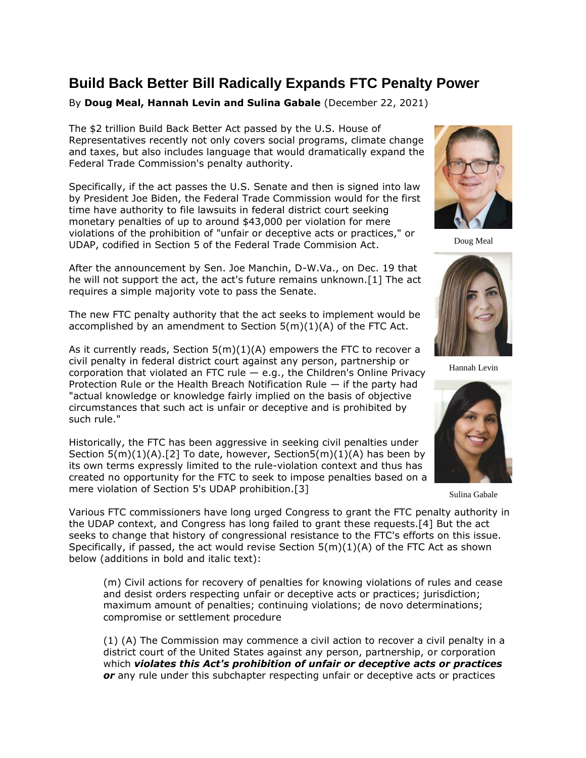## **Build Back Better Bill Radically Expands FTC Penalty Power**

By **Doug Meal, Hannah Levin and Sulina Gabale** (December 22, 2021)

The \$2 trillion Build Back Better Act passed by the [U.S. House of](https://www.law360.com/agencies/u-s-house-of-representatives)  [Representatives](https://www.law360.com/agencies/u-s-house-of-representatives) recently not only covers social programs, climate change and taxes, but also includes language that would dramatically expand the Federal Trade Commission's penalty authority.

Specifically, if the act passes the [U.S. Senate](https://www.law360.com/agencies/u-s-senate) and then is signed into law by President Joe Biden, the Federal Trade Commission would for the first time have authority to file lawsuits in federal district court seeking monetary penalties of up to around \$43,000 per violation for mere violations of the prohibition of "unfair or deceptive acts or practices," or UDAP, codified in Section 5 of the Federal Trade Commision Act.

After the announcement by Sen. Joe Manchin, D-W.Va., on Dec. 19 that he will not support the act, the act's future remains unknown.[1] The act requires a simple majority vote to pass the Senate.

The new [FTC](https://www.law360.com/agencies/federal-trade-commission) penalty authority that the act seeks to implement would be accomplished by an amendment to Section 5(m)(1)(A) of the FTC Act.

As it currently reads, Section  $5(m)(1)(A)$  empowers the FTC to recover a civil penalty in federal district court against any person, partnership or corporation that violated an FTC rule  $-$  e.g., the Children's Online Privacy Protection Rule or the Health Breach Notification Rule — if the party had "actual knowledge or knowledge fairly implied on the basis of objective circumstances that such act is unfair or deceptive and is prohibited by such rule."

Historically, the FTC has been aggressive in seeking civil penalties under Section 5(m)(1)(A).[2] To date, however, Section5(m)(1)(A) has been by its own terms expressly limited to the rule-violation context and thus has created no opportunity for the FTC to seek to impose penalties based on a mere violation of Section 5's UDAP prohibition.[3]

Various FTC commissioners have long urged Congress to grant the FTC penalty authority in the UDAP context, and Congress has long failed to grant these requests.[4] But the act seeks to change that history of congressional resistance to the FTC's efforts on this issue. Specifically, if passed, the act would revise Section 5(m)(1)(A) of the FTC Act as shown below (additions in bold and italic text):

(m) Civil actions for recovery of penalties for knowing violations of rules and cease and desist orders respecting unfair or deceptive acts or practices; jurisdiction; maximum amount of penalties; continuing violations; de novo determinations; compromise or settlement procedure

(1) (A) The Commission may commence a civil action to recover a civil penalty in a district court of the United States against any person, partnership, or corporation which *violates this Act's prohibition of unfair or deceptive acts or practices or* any rule under this subchapter respecting unfair or deceptive acts or practices



Doug Meal



Hannah Levin



Sulina Gabale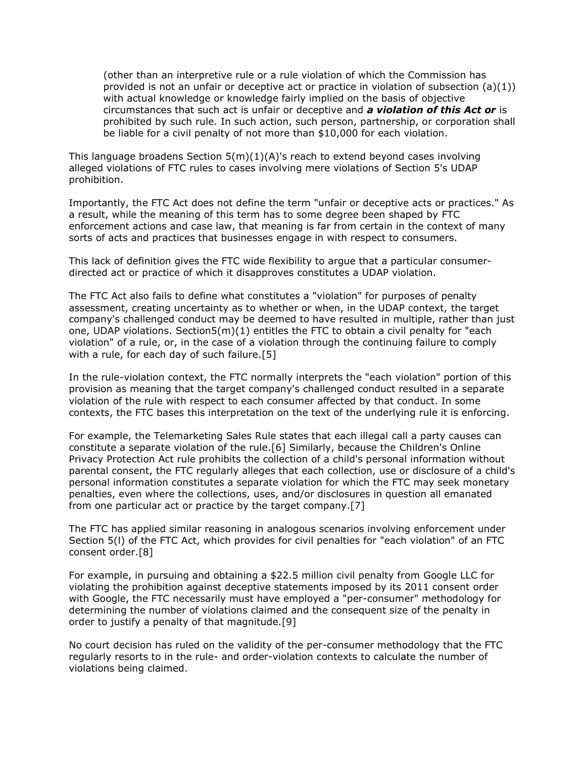(other than an interpretive rule or a rule violation of which the Commission has provided is not an unfair or deceptive act or practice in violation of subsection  $(a)(1)$ ) with actual knowledge or knowledge fairly implied on the basis of objective circumstances that such act is unfair or deceptive and *a violation of this Act or* is prohibited by such rule. In such action, such person, partnership, or corporation shall be liable for a civil penalty of not more than \$10,000 for each violation.

This language broadens Section  $5(m)(1)(A)$ 's reach to extend beyond cases involving alleged violations of FTC rules to cases involving mere violations of Section 5's UDAP prohibition.

Importantly, the FTC Act does not define the term "unfair or deceptive acts or practices." As a result, while the meaning of this term has to some degree been shaped by FTC enforcement actions and case law, that meaning is far from certain in the context of many sorts of acts and practices that businesses engage in with respect to consumers.

This lack of definition gives the FTC wide flexibility to argue that a particular consumerdirected act or practice of which it disapproves constitutes a UDAP violation.

The FTC Act also fails to define what constitutes a "violation" for purposes of penalty assessment, creating uncertainty as to whether or when, in the UDAP context, the target company's challenged conduct may be deemed to have resulted in multiple, rather than just one, UDAP violations. Section5 $(m)(1)$  entitles the FTC to obtain a civil penalty for "each violation" of a rule, or, in the case of a violation through the continuing failure to comply with a rule, for each day of such failure.[5]

In the rule-violation context, the FTC normally interprets the "each violation" portion of this provision as meaning that the target company's challenged conduct resulted in a separate violation of the rule with respect to each consumer affected by that conduct. In some contexts, the FTC bases this interpretation on the text of the underlying rule it is enforcing.

For example, the Telemarketing Sales Rule states that each illegal call a party causes can constitute a separate violation of the rule.[6] Similarly, because the Children's Online Privacy Protection Act rule prohibits the collection of a child's personal information without parental consent, the FTC regularly alleges that each collection, use or disclosure of a child's personal information constitutes a separate violation for which the FTC may seek monetary penalties, even where the collections, uses, and/or disclosures in question all emanated from one particular act or practice by the target company.[7]

The FTC has applied similar reasoning in analogous scenarios involving enforcement under Section 5(l) of the FTC Act, which provides for civil penalties for "each violation" of an FTC consent order.[8]

For example, in pursuing and obtaining a \$22.5 million civil penalty from [Google LLC](https://www.law360.com/companies/google-llc) for violating the prohibition against deceptive statements imposed by its 2011 consent order with Google, the FTC necessarily must have employed a "per-consumer" methodology for determining the number of violations claimed and the consequent size of the penalty in order to justify a penalty of that magnitude.[9]

No court decision has ruled on the validity of the per-consumer methodology that the FTC regularly resorts to in the rule- and order-violation contexts to calculate the number of violations being claimed.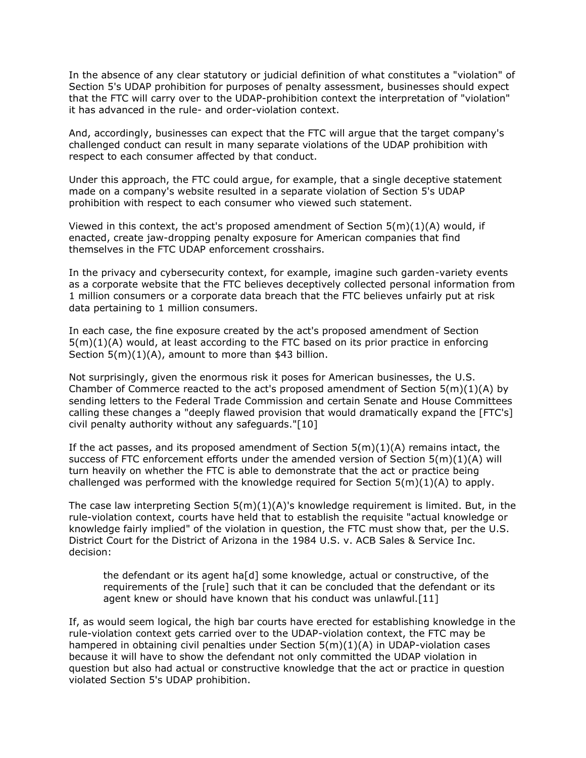In the absence of any clear statutory or judicial definition of what constitutes a "violation" of Section 5's UDAP prohibition for purposes of penalty assessment, businesses should expect that the FTC will carry over to the UDAP-prohibition context the interpretation of "violation" it has advanced in the rule- and order-violation context.

And, accordingly, businesses can expect that the FTC will argue that the target company's challenged conduct can result in many separate violations of the UDAP prohibition with respect to each consumer affected by that conduct.

Under this approach, the FTC could argue, for example, that a single deceptive statement made on a company's website resulted in a separate violation of Section 5's UDAP prohibition with respect to each consumer who viewed such statement.

Viewed in this context, the act's proposed amendment of Section  $5(m)(1)(A)$  would, if enacted, create jaw-dropping penalty exposure for American companies that find themselves in the FTC UDAP enforcement crosshairs.

In the privacy and cybersecurity context, for example, imagine such garden-variety events as a corporate website that the FTC believes deceptively collected personal information from 1 million consumers or a corporate data breach that the FTC believes unfairly put at risk data pertaining to 1 million consumers.

In each case, the fine exposure created by the act's proposed amendment of Section 5(m)(1)(A) would, at least according to the FTC based on its prior practice in enforcing Section 5(m)(1)(A), amount to more than \$43 billion.

Not surprisingly, given the enormous risk it poses for American businesses, the [U.S.](https://www.law360.com/companies/u-s-chamber-of-commerce)  [Chamber of Commerce](https://www.law360.com/companies/u-s-chamber-of-commerce) reacted to the act's proposed amendment of Section  $5(m)(1)(A)$  by sending letters to the Federal Trade Commission and certain Senate and House Committees calling these changes a "deeply flawed provision that would dramatically expand the [FTC's] civil penalty authority without any safeguards."[10]

If the act passes, and its proposed amendment of Section  $5(m)(1)(A)$  remains intact, the success of FTC enforcement efforts under the amended version of Section  $5(m)(1)(A)$  will turn heavily on whether the FTC is able to demonstrate that the act or practice being challenged was performed with the knowledge required for Section  $5(m)(1)(A)$  to apply.

The case law interpreting Section  $5(m)(1)(A)$ 's knowledge requirement is limited. But, in the rule-violation context, courts have held that to establish the requisite "actual knowledge or knowledge fairly implied" of the violation in question, the FTC must show that, per the [U.S.](https://www.law360.com/agencies/u-s-district-court-for-the-district-of-arizona)  [District Court for the District of Arizona](https://www.law360.com/agencies/u-s-district-court-for-the-district-of-arizona) in the 1984 U.S. v. ACB Sales & Service Inc. decision:

the defendant or its agent ha[d] some knowledge, actual or constructive, of the requirements of the [rule] such that it can be concluded that the defendant or its agent knew or should have known that his conduct was unlawful.[11]

If, as would seem logical, the high bar courts have erected for establishing knowledge in the rule-violation context gets carried over to the UDAP-violation context, the FTC may be hampered in obtaining civil penalties under Section  $5(m)(1)(A)$  in UDAP-violation cases because it will have to show the defendant not only committed the UDAP violation in question but also had actual or constructive knowledge that the act or practice in question violated Section 5's UDAP prohibition.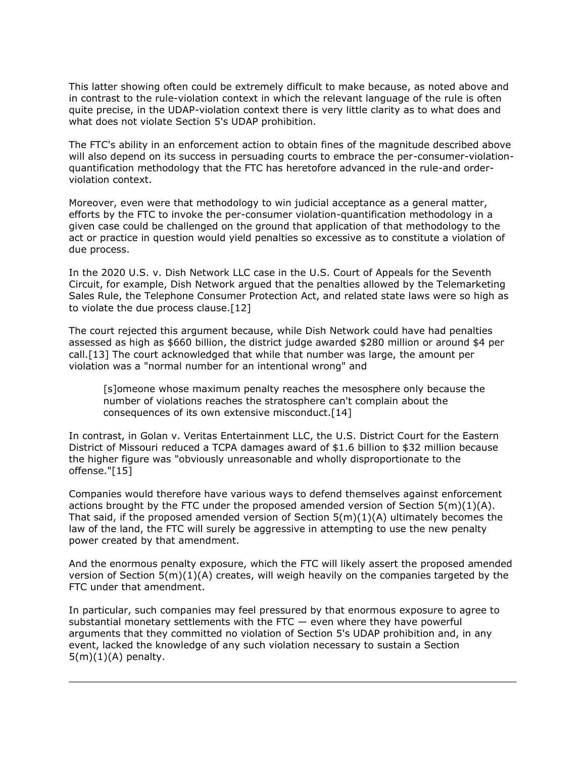This latter showing often could be extremely difficult to make because, as noted above and in contrast to the rule-violation context in which the relevant language of the rule is often quite precise, in the UDAP-violation context there is very little clarity as to what does and what does not violate Section 5's UDAP prohibition.

The FTC's ability in an enforcement action to obtain fines of the magnitude described above will also depend on its success in persuading courts to embrace the per-consumer-violationquantification methodology that the FTC has heretofore advanced in the rule-and orderviolation context.

Moreover, even were that methodology to win judicial acceptance as a general matter, efforts by the FTC to invoke the per-consumer violation-quantification methodology in a given case could be challenged on the ground that application of that methodology to the act or practice in question would yield penalties so excessive as to constitute a violation of due process.

In the 2020 U.S. v. Dish Network LLC case in the [U.S. Court of Appeals for the Seventh](https://www.law360.com/agencies/u-s-court-of-appeals-for-the-seventh-circuit)  [Circuit,](https://www.law360.com/agencies/u-s-court-of-appeals-for-the-seventh-circuit) for example, Dish Network argued that the penalties allowed by the Telemarketing Sales Rule, the Telephone Consumer Protection Act, and related state laws were so high as to violate the due process clause.[12]

The court rejected this argument because, while Dish Network could have had penalties assessed as high as \$660 billion, the district judge awarded \$280 million or around \$4 per call.[13] The court acknowledged that while that number was large, the amount per violation was a "normal number for an intentional wrong" and

[s]omeone whose maximum penalty reaches the mesosphere only because the number of violations reaches the stratosphere can't complain about the consequences of its own extensive misconduct.[14]

In contrast, in Golan v. Veritas Entertainment LLC, the [U.S. District Court for the Eastern](https://www.law360.com/agencies/u-s-district-court-for-the-eastern-district-of-missouri)  [District of Missouri](https://www.law360.com/agencies/u-s-district-court-for-the-eastern-district-of-missouri) reduced a TCPA damages award of \$1.6 billion to \$32 million because the higher figure was "obviously unreasonable and wholly disproportionate to the offense."[15]

Companies would therefore have various ways to defend themselves against enforcement actions brought by the FTC under the proposed amended version of Section  $5(m)(1)(A)$ . That said, if the proposed amended version of Section  $5(m)(1)(A)$  ultimately becomes the law of the land, the FTC will surely be aggressive in attempting to use the new penalty power created by that amendment.

And the enormous penalty exposure, which the FTC will likely assert the proposed amended version of Section  $5(m)(1)(A)$  creates, will weigh heavily on the companies targeted by the FTC under that amendment.

In particular, such companies may feel pressured by that enormous exposure to agree to substantial monetary settlements with the FTC  $-$  even where they have powerful arguments that they committed no violation of Section 5's UDAP prohibition and, in any event, lacked the knowledge of any such violation necessary to sustain a Section  $5(m)(1)(A)$  penalty.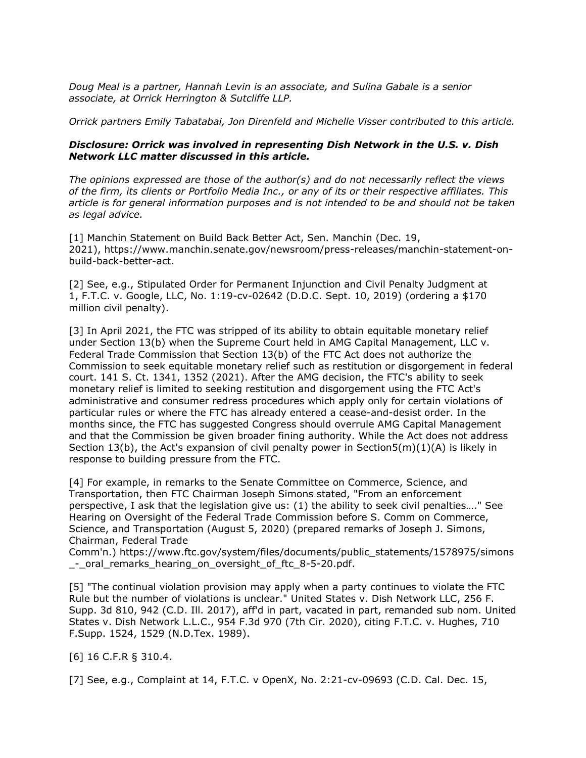*[Doug Meal](https://www.orrick.com/People/2/6/2/Doug-Meal) is a partner, [Hannah Levin](https://www.orrick.com/en/People/4/A/4/Hannah-Levin) is an associate, and [Sulina Gabale](https://www.orrick.com/en/People/3/E/7/Sulina-Gabale) is a senior associate, at [Orrick Herrington & Sutcliffe LLP.](https://www.law360.com/firms/orrick-herrington)*

*Orrick partners Emily Tabatabai, Jon Direnfeld and Michelle Visser contributed to this article.*

## *Disclosure: Orrick was involved in representing Dish Network in the U.S. v. Dish Network LLC matter discussed in this article.*

*The opinions expressed are those of the author(s) and do not necessarily reflect the views of the firm, its clients or Portfolio Media Inc., or any of its or their respective affiliates. This article is for general information purposes and is not intended to be and should not be taken as legal advice.*

[1] Manchin Statement on Build Back Better Act, Sen. Manchin (Dec. 19, 2021), [https://www.manchin.senate.gov/newsroom/press-releases/manchin-statement-on](https://www.manchin.senate.gov/newsroom/press-releases/manchin-statement-on-build-back-better-act)[build-back-better-act.](https://www.manchin.senate.gov/newsroom/press-releases/manchin-statement-on-build-back-better-act)

[2] See, e.g., Stipulated Order for Permanent Injunction and Civil Penalty Judgment at 1, F.T.C. v. Google, LLC, No. 1:19-cv-02642 (D.D.C. Sept. 10, 2019) (ordering a \$170 million civil penalty).

[3] In April 2021, the FTC was stripped of its ability to obtain equitable monetary relief under Section 13(b) when the Supreme Court held in [AMG Capital Management, LLC v.](https://advance.lexis.com/api/search?q=2021%20U.S.%20LEXIS%202108&qlang=bool&origination=law360&internalOrigination=article_id%3D1450573%3Bcitation%3D2021%20U.S.%20LEXIS%202108&originationDetail=headline%3DBuild%20Back%20Better%20Bill%20Radically%20Expands%20FTC%20Penalty%20Power&)  [Federal Trade Commission](https://advance.lexis.com/api/search?q=2021%20U.S.%20LEXIS%202108&qlang=bool&origination=law360&internalOrigination=article_id%3D1450573%3Bcitation%3D2021%20U.S.%20LEXIS%202108&originationDetail=headline%3DBuild%20Back%20Better%20Bill%20Radically%20Expands%20FTC%20Penalty%20Power&) that Section 13(b) of the FTC Act does not authorize the Commission to seek equitable monetary relief such as restitution or disgorgement in federal court. 141 S. Ct. 1341, 1352 (2021). After the AMG decision, the FTC's ability to seek monetary relief is limited to seeking restitution and disgorgement using the FTC Act's administrative and consumer redress procedures which apply only for certain violations of particular rules or where the FTC has already entered a cease-and-desist order. In the months since, the FTC has suggested Congress should overrule AMG Capital Management and that the Commission be given broader fining authority. While the Act does not address Section 13(b), the Act's expansion of civil penalty power in Section5(m)(1)(A) is likely in response to building pressure from the FTC.

[4] For example, in remarks to the Senate Committee on Commerce, Science, and Transportation, then FTC Chairman Joseph Simons stated, "From an enforcement perspective, I ask that the legislation give us: (1) the ability to seek civil penalties…." See Hearing on Oversight of the Federal Trade Commission before S. Comm on Commerce, Science, and Transportation (August 5, 2020) (prepared remarks of Joseph J. Simons, Chairman, Federal Trade

Comm'n.) [https://www.ftc.gov/system/files/documents/public\\_statements/1578975/simons](https://www.ftc.gov/system/files/documents/public_statements/1578975/simons_-_oral_remarks_hearing_on_oversight_of_ftc_8-5-20.pdf) [\\_-\\_oral\\_remarks\\_hearing\\_on\\_oversight\\_of\\_ftc\\_8-5-20.pdf.](https://www.ftc.gov/system/files/documents/public_statements/1578975/simons_-_oral_remarks_hearing_on_oversight_of_ftc_8-5-20.pdf)

[5] "The continual violation provision may apply when a party continues to violate the FTC Rule but the number of violations is unclear." [United States v. Dish Network LLC,](https://advance.lexis.com/api/search?q=2017%20U.S.%20Dist.%20LEXIS%2085543&qlang=bool&origination=law360&internalOrigination=article_id%3D1450573%3Bcitation%3D2017%20U.S.%20Dist.%20LEXIS%2085543&originationDetail=headline%3DBuild%20Back%20Better%20Bill%20Radically%20Expands%20FTC%20Penalty%20Power&) 256 F. Supp. 3d 810, 942 (C.D. Ill. 2017), aff'd in part, vacated in part, remanded sub nom. [United](https://advance.lexis.com/api/search?q=2020%20U.S.%20App.%20LEXIS%209443&qlang=bool&origination=law360&internalOrigination=article_id%3D1450573%3Bcitation%3D2020%20U.S.%20App.%20LEXIS%209443&originationDetail=headline%3DBuild%20Back%20Better%20Bill%20Radically%20Expands%20FTC%20Penalty%20Power&)  [States v. Dish Network L.L.C.](https://advance.lexis.com/api/search?q=2020%20U.S.%20App.%20LEXIS%209443&qlang=bool&origination=law360&internalOrigination=article_id%3D1450573%3Bcitation%3D2020%20U.S.%20App.%20LEXIS%209443&originationDetail=headline%3DBuild%20Back%20Better%20Bill%20Radically%20Expands%20FTC%20Penalty%20Power&), 954 F.3d 970 (7th Cir. 2020), citing [F.T.C. v. Hughes,](https://advance.lexis.com/api/search?q=1989%20U.S.%20Dist.%20LEXIS%2017481&qlang=bool&origination=law360&internalOrigination=article_id%3D1450573%3Bcitation%3D1989%20U.S.%20Dist.%20LEXIS%2017481&originationDetail=headline%3DBuild%20Back%20Better%20Bill%20Radically%20Expands%20FTC%20Penalty%20Power&) 710 F.Supp. 1524, 1529 (N.D.Tex. 1989).

[6] 16 C.F.R § 310.4.

[7] See, e.g., Complaint at 14, F.T.C. v [OpenX,](https://www.law360.com/companies/openx-technologies-inc) No. 2:21-cv-09693 (C.D. Cal. Dec. 15,